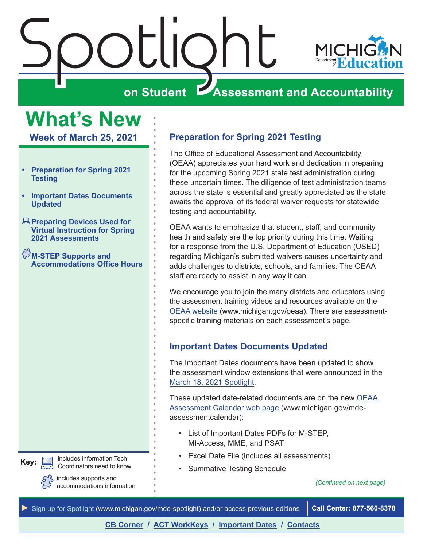<span id="page-0-0"></span>

## **What's New**

**Week of March 25, 2021**

- **• Preparation for Spring 2021 Testing**
- **• Important Dates Documents Updated**
- **<u>A</u>** Preparing Devices Used for **[Virtual Instruction for Spring](#page-1-0)  [2021 Assessments](#page-1-0)**
- $\mathbb{S}^{\mathbb{S}}$ M-STEP Supports and **[Accommodations Office Hours](#page-1-0)**

includes information Tech Coordinators need to know **Key:**



includes supports and accommodations information

## **Preparation for Spring 2021 Testing**

The Office of Educational Assessment and Accountability (OEAA) appreciates your hard work and dedication in preparing for the upcoming Spring 2021 state test administration during these uncertain times. The diligence of test administration teams across the state is essential and greatly appreciated as the state awaits the approval of its federal waiver requests for statewide testing and accountability.

OEAA wants to emphasize that student, staff, and community health and safety are the top priority during this time. Waiting for a response from the U.S. Department of Education (USED) regarding Michigan's submitted waivers causes uncertainty and adds challenges to districts, schools, and families. The OEAA staff are ready to assist in any way it can.

We encourage you to join the many districts and educators using the assessment training videos and resources available on the [OEAA website](http://www.michigan.gov/oeaa) (www.michigan.gov/oeaa). There are assessmentspecific training materials on each assessment's page.

## **Important Dates Documents Updated**

The Important Dates documents have been updated to show the assessment window extensions that were announced in the [March 18, 2021 Spotlight.](https://www.michigan.gov/documents/mde/Spotlight_3-18-21_719855_7.pdf)

These updated date-related documents are on the new [OEAA](http://www.michigan.gov/mde-assessmentcalendar)  [Assessment Calendar web page](http://www.michigan.gov/mde-assessmentcalendar) (www.michigan.gov/mdeassessmentcalendar):

- List of Important Dates PDFs for M-STEP, MI-Access, MME, and PSAT
- Excel Date File (includes all assessments)
- Summative Testing Schedule

#### *(Continued on next page)*

*►* [Sign up for Spotlight](https://public.govdelivery.com/accounts/MIMDE/subscriber/new) [\(www.michigan.gov/mde](www.michigan.gov/mde-spotlight)-spotlight) and/or access previous editions **Call Center: 877-560-8378**

**[CB Corner](#page-2-0) / [ACT WorkKeys](#page-4-0) / [Important Dates](#page-6-0) / [Contacts](#page-7-0)**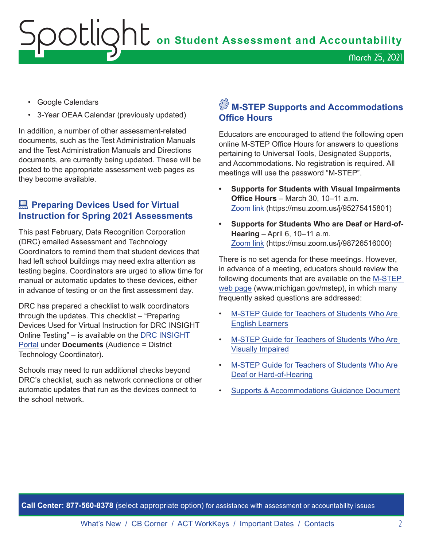## <span id="page-1-0"></span>**Spotlight** on Student Assessment and Accountability March 25, 2021

- Google Calendars
- 3-Year OEAA Calendar (previously updated)

In addition, a number of other assessment-related documents, such as the Test Administration Manuals and the Test Administration Manuals and Directions documents, are currently being updated. These will be posted to the appropriate assessment web pages as they become available.

## **Example 2 Preparing Devices Used for Virtual Instruction for Spring 2021 Assessments**

This past February, Data Recognition Corporation (DRC) emailed Assessment and Technology Coordinators to remind them that student devices that had left school buildings may need extra attention as testing begins. Coordinators are urged to allow time for manual or automatic updates to these devices, either in advance of testing or on the first assessment day.

DRC has prepared a checklist to walk coordinators through the updates. This checklist – "Preparing Devices Used for Virtual Instruction for DRC INSIGHT Online Testing" – is available on the [DRC INSIGHT](https://mi.drcedirect.com)  [Portal](https://mi.drcedirect.com) under **Documents** (Audience = District Technology Coordinator).

Schools may need to run additional checks beyond DRC's checklist, such as network connections or other automatic updates that run as the devices connect to the school network.

## $\hat{\mathbb{S}}$  M-STEP Supports and Accommodations **Office Hours**

Educators are encouraged to attend the following open online M-STEP Office Hours for answers to questions pertaining to Universal Tools, Designated Supports, and Accommodations. No registration is required. All meetings will use the password "M-STEP".

- **• Supports for Students with Visual Impairments Office Hours** – March 30, 10–11 a.m. [Zoom link](https://msu.zoom.us/j/95275415801) (https://msu.zoom.us/j/95275415801)
- **• Supports for Students Who are Deaf or Hard-of-Hearing** – April 6, 10–11 a.m. [Zoom link](https://msu.zoom.us/j/98726516000) (https://msu.zoom.us/j/98726516000)

There is no set agenda for these meetings. However, in advance of a meeting, educators should review the following documents that are available on the [M-STEP](http://www.michigan.gov/mstep)  [web page](http://www.michigan.gov/mstep) (www.michigan.gov/mstep), in which many frequently asked questions are addressed:

- [M-STEP Guide for Teachers of Students Who Are](https://www.michigan.gov/documents/mde/M-Step_Guide_for_Teachers_of_Students_-_EL_681770_7.pdf)  [English Learners](https://www.michigan.gov/documents/mde/M-Step_Guide_for_Teachers_of_Students_-_EL_681770_7.pdf)
- [M-STEP Guide for Teachers of Students Who Are](https://www.michigan.gov/documents/mde/M-Step_Guide_for_Teachers_of_Students_-_VI_681771_7.pdf)  [Visually Impaired](https://www.michigan.gov/documents/mde/M-Step_Guide_for_Teachers_of_Students_-_VI_681771_7.pdf)
- [M-STEP Guide for Teachers of Students Who Are](https://www.michigan.gov/documents/mde/M-Step_Guide_for_Teachers_of_Students_-_DHH_681769_7.pdf)  [Deaf or Hard-of-Hearing](https://www.michigan.gov/documents/mde/M-Step_Guide_for_Teachers_of_Students_-_DHH_681769_7.pdf)
- [Supports & Accommodations Guidance Document](https://www.michigan.gov/documents/mde/Michigan_Accommodations_Manual.final_480016_7.pdf)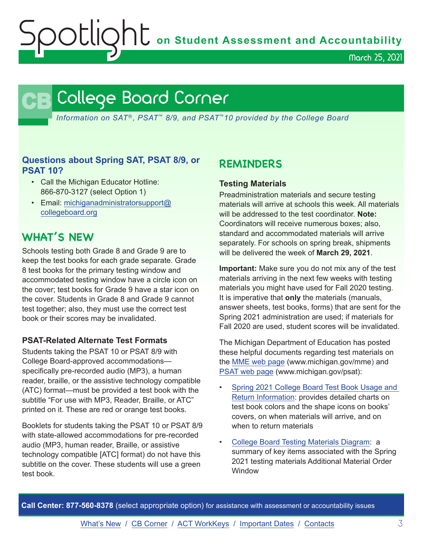**OOUQNU** on Student Assessment and Accountability

March 25, 2021

## <span id="page-2-0"></span>**CB** College Board Corner

*Information on SAT*®*, PSAT*™ *8/9, and PSAT*™*10 provided by the College Board*

#### **Questions about Spring SAT, PSAT 8/9, or PSAT 10?**

- Call the Michigan Educator Hotline: 866-870-3127 (select Option 1)
- Email: [michiganadministratorsupport@](mailto:michiganadministratorsupport%40collegeboard.org?subject=) [collegeboard.org](mailto:michiganadministratorsupport%40collegeboard.org?subject=)

## **WHAT'S NEW**

Schools testing both Grade 8 and Grade 9 are to keep the test books for each grade separate. Grade 8 test books for the primary testing window and accommodated testing window have a circle icon on the cover; test books for Grade 9 have a star icon on the cover. Students in Grade 8 and Grade 9 cannot test together; also, they must use the correct test book or their scores may be invalidated.

#### **PSAT-Related Alternate Test Formats**

Students taking the PSAT 10 or PSAT 8/9 with College Board-approved accommodations specifically pre-recorded audio (MP3), a human reader, braille, or the assistive technology compatible (ATC) format—must be provided a test book with the subtitle "For use with MP3, Reader, Braille, or ATC" printed on it. These are red or orange test books.

Booklets for students taking the PSAT 10 or PSAT 8/9 with state-allowed accommodations for pre-recorded audio (MP3, human reader, Braille, or assistive technology compatible [ATC] format) do not have this subtitle on the cover. These students will use a green test book.

## **REMINDERS**

#### **Testing Materials**

Preadministration materials and secure testing materials will arrive at schools this week. All materials will be addressed to the test coordinator. **Note:** Coordinators will receive numerous boxes; also, standard and accommodated materials will arrive separately. For schools on spring break, shipments will be delivered the week of **March 29, 2021**.

**Important:** Make sure you do not mix any of the test materials arriving in the next few weeks with testing materials you might have used for Fall 2020 testing. It is imperative that **only** the materials (manuals, answer sheets, test books, forms) that are sent for the Spring 2021 administration are used; if materials for Fall 2020 are used, student scores will be invalidated.

The Michigan Department of Education has posted these helpful documents regarding test materials on the [MME web page](www.michigan.gov/mme) (www.michigan.gov/mme) and [PSAT web page](http://www.michigan.gov/psat) (www.michigan.gov/psat):

- [Spring 2021 College Board Test Book Usage and](https://www.michigan.gov/documents/mde/Test_Book_Usage_V2_719205_7.pdf)  [Return Information:](https://www.michigan.gov/documents/mde/Test_Book_Usage_V2_719205_7.pdf) provides detailed charts on test book colors and the shape icons on books' covers, on when materials will arrive, and on when to return materials
- [College Board Testing Materials Diagram](https://www.michigan.gov/documents/mde/Spring_2021_Michigan_Testing_Materials_Diagram_710267_7.pdf): a summary of key items associated with the Spring 2021 testing materials Additional Material Order Window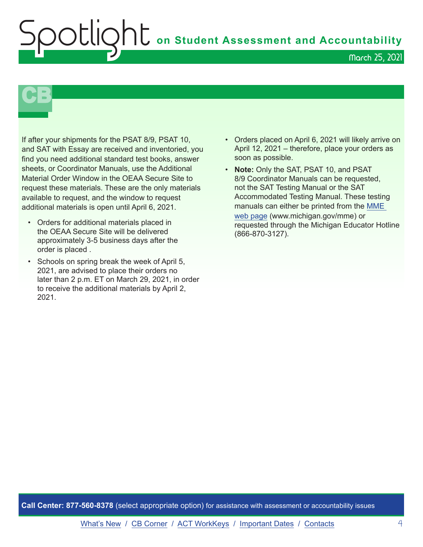## **C** on Student Assessment and Accountability March 25, 2021

# **CB**

If after your shipments for the PSAT 8/9, PSAT 10, and SAT with Essay are received and inventoried, you find you need additional standard test books, answer sheets, or Coordinator Manuals, use the Additional Material Order Window in the OEAA Secure Site to request these materials. These are the only materials available to request, and the window to request additional materials is open until April 6, 2021.

- Orders for additional materials placed in the OEAA Secure Site will be delivered approximately 3-5 business days after the order is placed .
- Schools on spring break the week of April 5, 2021, are advised to place their orders no later than 2 p.m. ET on March 29, 2021, in order to receive the additional materials by April 2, 2021.
- Orders placed on April 6, 2021 will likely arrive on April 12, 2021 – therefore, place your orders as soon as possible.
- **Note:** Only the SAT, PSAT 10, and PSAT 8/9 Coordinator Manuals can be requested, not the SAT Testing Manual or the SAT Accommodated Testing Manual. These testing manuals can either be printed from the [MME](www.michigan.gov/mme)  [web page](www.michigan.gov/mme) (www.michigan.gov/mme) or requested through the Michigan Educator Hotline (866-870-3127).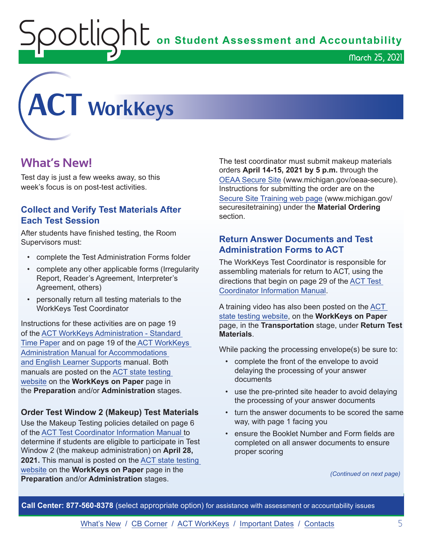**ht** on Student Assessment and Accountability

<span id="page-4-0"></span>

## **What's New!**

Test day is just a few weeks away, so this week's focus is on post-test activities.

### **Collect and Verify Test Materials After Each Test Session**

After students have finished testing, the Room Supervisors must:

- complete the Test Administration Forms folder
- complete any other applicable forms (Irregularity Report, Reader's Agreement, Interpreter's Agreement, others)
- personally return all testing materials to the WorkKeys Test Coordinator

Instructions for these activities are on page 19 of the [ACT WorkKeys Administration - Standard](http://www.act.org/content/dam/act/secured/documents/pdfs/WK-Admin-SD-Std-Time-Paper-Secured.pdf)  [Time Paper](http://www.act.org/content/dam/act/secured/documents/pdfs/WK-Admin-SD-Std-Time-Paper-Secured.pdf) and on page 19 of the [ACT WorkKeys](http://www.act.org/content/dam/act/secured/documents/pdfs/WK-Admin-SD-Accoms-Secured.pdf)  [Administration Manual for Accommodations](http://www.act.org/content/dam/act/secured/documents/pdfs/WK-Admin-SD-Accoms-Secured.pdf)  [and English Learner Supports](http://www.act.org/content/dam/act/secured/documents/pdfs/WK-Admin-SD-Accoms-Secured.pdf) manual. Both manuals are posted on the [ACT state testing](http://www.act.org/stateanddistrict/michigan)  [website](http://www.act.org/stateanddistrict/michigan) on the **WorkKeys on Paper** page in the **Preparation** and/or **Administration** stages.

#### **Order Test Window 2 (Makeup) Test Materials**

Use the Makeup Testing policies detailed on page 6 of the [ACT Test Coordinator Information Manual](https://www.act.org/content/dam/act/secured/documents/pdfs/state-district-test-coordinator-paper-test.pdf) to determine if students are eligible to participate in Test Window 2 (the makeup administration) on **April 28, 2021.** This manual is posted on the [ACT state testing](http://www.act.org/content/act/en/products-and-services/state-and-district-solutions/michigan.html)  [website](http://www.act.org/content/act/en/products-and-services/state-and-district-solutions/michigan.html) on the **WorkKeys on Paper** page in the **Preparation** and/or **Administration** stages.

The test coordinator must submit makeup materials orders **April 14-15, 2021 by 5 p.m.** through the [OEAA Secure Site](http://www.michigan.gov/oeaa-secure) (www.michigan.gov/oeaa-secure). Instructions for submitting the order are on the S[ecure Site Training web page](http://www.michigan.gov/securesitetraining) (www.michigan.gov/ securesitetraining) under the **Material Ordering**  section.

### **Return Answer Documents and Test Administration Forms to ACT**

The WorkKeys Test Coordinator is responsible for assembling materials for return to ACT, using the directions that begin on page 29 of the [ACT Test](https://www.act.org/content/dam/act/secured/documents/pdfs/state-district-test-coordinator-paper-test.pdf)  [Coordinator Information Manual.](https://www.act.org/content/dam/act/secured/documents/pdfs/state-district-test-coordinator-paper-test.pdf)

A training video has also been posted on the [ACT](http://www.act.org/content/act/en/products-and-services/state-and-district-solutions/michigan.html)  [state testing website,](http://www.act.org/content/act/en/products-and-services/state-and-district-solutions/michigan.html) on the **WorkKeys on Paper** page, in the **Transportation** stage, under **Return Test Materials**.

While packing the processing envelope(s) be sure to:

- complete the front of the envelope to avoid delaying the processing of your answer documents
- use the pre-printed site header to avoid delaying the processing of your answer documents
- turn the answer documents to be scored the same way, with page 1 facing you
- ensure the Booklet Number and Form fields are completed on all answer documents to ensure proper scoring

*(Continued on next page)*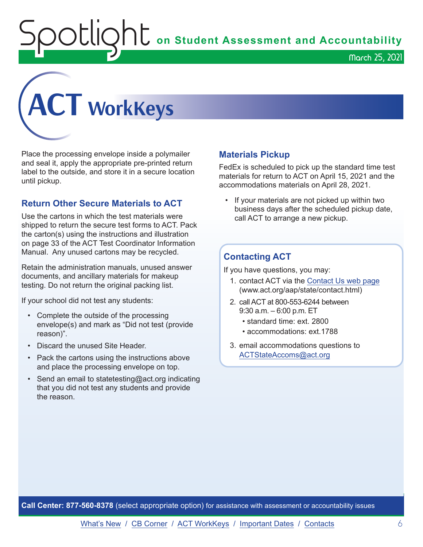$\sum_{i=1}^{n} \sum_{i=1}^{n} \sigma_i$  on Student Assessment and Accountability

March 25, 2021



Place the processing envelope inside a polymailer and seal it, apply the appropriate pre-printed return label to the outside, and store it in a secure location until pickup.

### **Return Other Secure Materials to ACT**

Use the cartons in which the test materials were shipped to return the secure test forms to ACT. Pack the carton(s) using the instructions and illustration on page 33 of the ACT Test Coordinator Information Manual. Any unused cartons may be recycled.

Retain the administration manuals, unused answer documents, and ancillary materials for makeup testing. Do not return the original packing list.

If your school did not test any students:

- Complete the outside of the processing envelope(s) and mark as "Did not test (provide reason)".
- Discard the unused Site Header.
- Pack the cartons using the instructions above and place the processing envelope on top.
- Send an email to statetesting@act.org indicating that you did not test any students and provide the reason.

#### **Materials Pickup**

FedEx is scheduled to pick up the standard time test materials for return to ACT on April 15, 2021 and the accommodations materials on April 28, 2021.

• If your materials are not picked up within two business days after the scheduled pickup date, call ACT to arrange a new pickup.

#### **Contacting ACT**

If you have questions, you may:

- 1. contact ACT via the [Contact Us web page](http://www.act.org/aap/state/contact.html) [\(www.act.org/aap/state/contact.html\)](https://www.act.org/aap/state/contact.html)
- 2. call ACT at 800-553-6244 between 9:30 a.m. – 6:00 p.m. ET
	- standard time: ext. 2800
	- accommodations: ext.1788
- 3. email accommodations questions to [ACTStateAccoms@act.org](mailto:ACTStateAccoms%40act.org?subject=)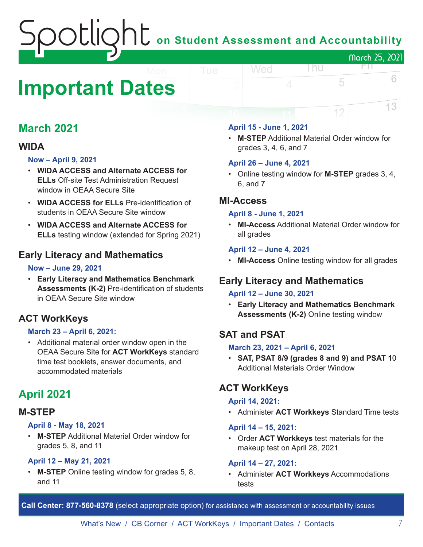## on Student Assessment and Accountability March 25, 2021

## <span id="page-6-0"></span>**Important Dates**

## **March 2021**

## **WIDA**

#### **Now – April 9, 2021**

- **WIDA ACCESS and Alternate ACCESS for ELLs** Off-site Test Administration Request window in OEAA Secure Site
- **WIDA ACCESS for ELLs** Pre-identification of students in OEAA Secure Site window
- **WIDA ACCESS and Alternate ACCESS for ELLs** testing window (extended for Spring 2021)

## **Early Literacy and Mathematics**

#### **Now – June 29, 2021**

• **Early Literacy and Mathematics Benchmark Assessments (K-2)** Pre-identification of students in OEAA Secure Site window

## **ACT WorkKeys**

#### **March 23 – April 6, 2021:**

• Additional material order window open in the OEAA Secure Site for **ACT WorkKeys** standard time test booklets, answer documents, and accommodated materials

## **April 2021**

## **M-STEP**

#### **April 8 - May 18, 2021**

• **M-STEP** Additional Material Order window for grades 5, 8, and 11

#### **April 12 – May 21, 2021**

• **M-STEP** Online testing window for grades 5, 8, and 11

#### **April 15 - June 1, 2021**

Wed

• **M-STEP** Additional Material Order window for grades 3, 4, 6, and 7

l nu

FП.

5

12

6

13

#### **April 26 – June 4, 2021**

• Online testing window for **M-STEP** grades 3, 4, 6, and 7

### **MI-Access**

#### **April 8 - June 1, 2021**

• **MI-Access** Additional Material Order window for all grades

#### **April 12 – June 4, 2021**

• **MI-Access** Online testing window for all grades

## **Early Literacy and Mathematics**

#### **April 12 – June 30, 2021**

• **Early Literacy and Mathematics Benchmark Assessments (K-2)** Online testing window

## **SAT and PSAT**

#### **March 23, 2021 – April 6, 2021**

• **SAT, PSAT 8/9 (grades 8 and 9) and PSAT 1**0 Additional Materials Order Window

## **ACT WorkKeys**

#### **April 14, 2021:**

• Administer **ACT Workkeys** Standard Time tests

#### **April 14 – 15, 2021:**

• Order **ACT Workkeys** test materials for the makeup test on April 28, 2021

#### **April 14 – 27, 2021:**

• Administer **ACT Workkeys** Accommodations tests